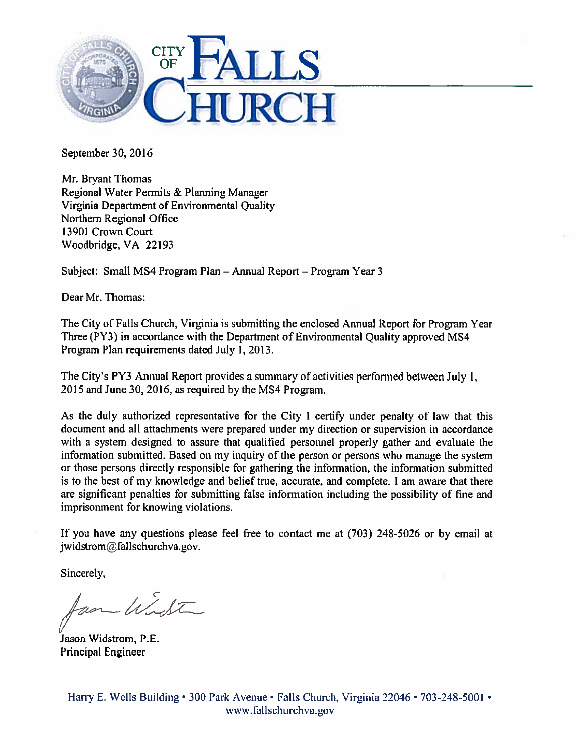

September 30, 2016

Mr. Bryant Thomas Regional Water Permits & Planning Manager Virginia Department of Environmental Quality Northern Regional Office 13901 Crown Court Woodbridge, VA 22193

Subject: Small MS4 Program Plan — Annual Report — Program Year 3

Dear Mr. Thomas:

The City of Falls Church. Virginia is submitting the enclosed Annual Report for Program Year Three (PY3) in accordance with the Department of Environmental Quality approved MS4 Program Plan requirements dated July 1, 2013.

The City's PY3 Annual Report provides <sup>a</sup> summary of activities performed between July 1, 2015 and June 30, 2016, as required by the MS4 Program.

As the duly authorized representative for the City <sup>I</sup> certify under penalty of law that this document and all attachments were prepared under my direction or supervision in accordance with <sup>a</sup> system designed to assure that qualified personnel properly gather and evaluate the information submitted. Based on my inquiry of the person or persons who manage the system or those persons directly responsible for gathering the information, the information submitted is to the best of my knowledge and belief true, accurate, and complete. <sup>I</sup> am aware that there are significant penalties for submitting false information including the possibility of fine and imprisonment for knowing violations.

If you have any questions <sup>p</sup>lease feel free to contact me at (703) 248-5026 or by email at j widstrom@fallschurchva.gov.

Sincerely,

am Winter

Jason Widstrom, P.E. Principal Engineer

Harry E. Wells Building • 300 Park Avenue • Falls Church, Virginia 22046 • 703-248-5001 • www.fallschurchva.gov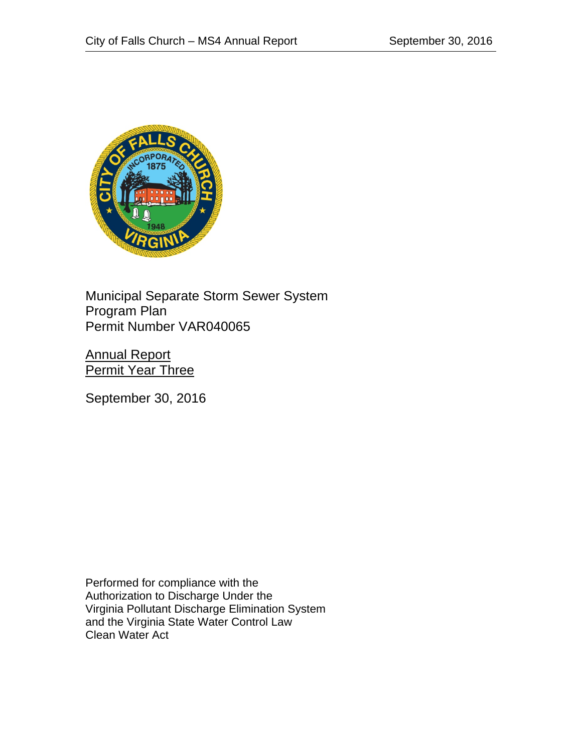

Municipal Separate Storm Sewer System Program Plan Permit Number VAR040065

Annual Report **Permit Year Three** 

September 30, 2016

Performed for compliance with the Authorization to Discharge Under the Virginia Pollutant Discharge Elimination System and the Virginia State Water Control Law Clean Water Act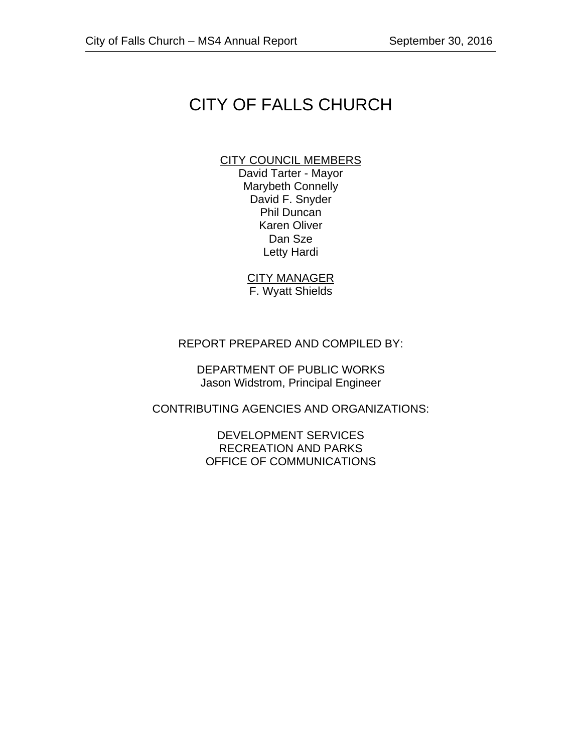# CITY OF FALLS CHURCH

#### CITY COUNCIL MEMBERS

David Tarter - Mayor Marybeth Connelly David F. Snyder Phil Duncan Karen Oliver Dan Sze Letty Hardi

CITY MANAGER F. Wyatt Shields

#### REPORT PREPARED AND COMPILED BY:

DEPARTMENT OF PUBLIC WORKS Jason Widstrom, Principal Engineer

CONTRIBUTING AGENCIES AND ORGANIZATIONS:

DEVELOPMENT SERVICES RECREATION AND PARKS OFFICE OF COMMUNICATIONS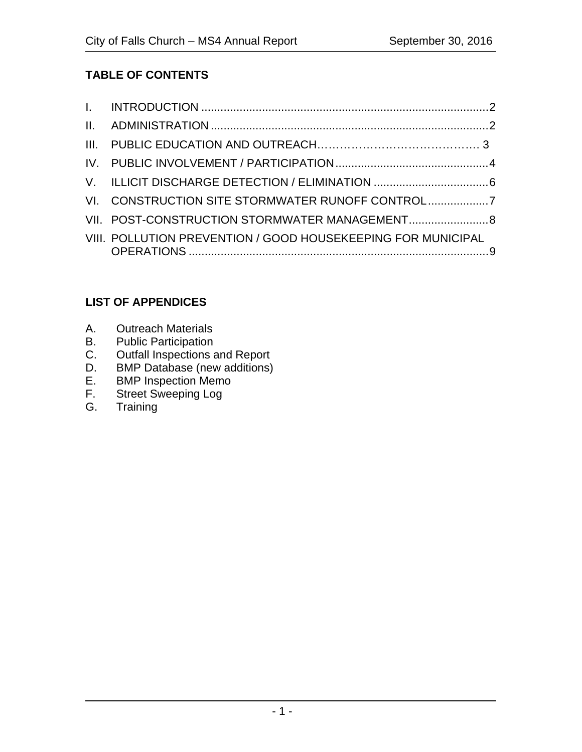# **TABLE OF CONTENTS**

| VI. CONSTRUCTION SITE STORMWATER RUNOFF CONTROL              |  |
|--------------------------------------------------------------|--|
|                                                              |  |
| VIII. POLLUTION PREVENTION / GOOD HOUSEKEEPING FOR MUNICIPAL |  |

# **LIST OF APPENDICES**

- A. Outreach Materials
- B. Public Participation
- C. Outfall Inspections and Report
- D. BMP Database (new additions)
- E. BMP Inspection Memo<br>F. Street Sweeping Log
- F. Street Sweeping Log<br>G. Training
- Training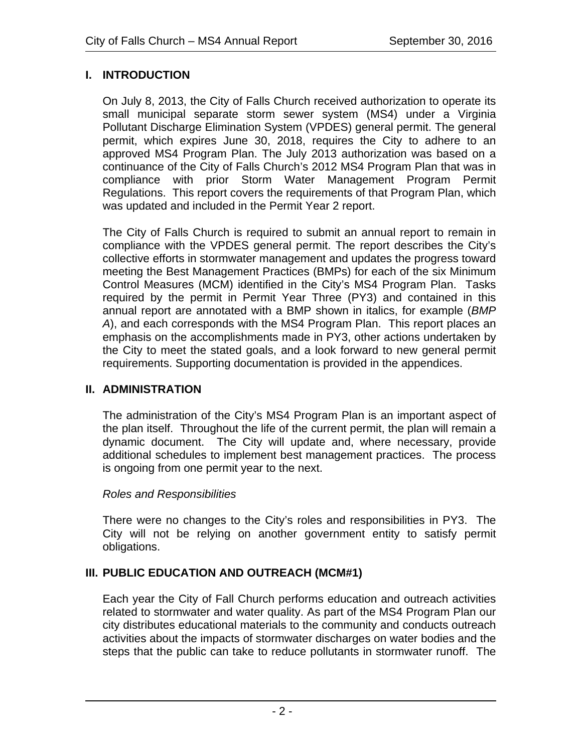# **I. INTRODUCTION**

On July 8, 2013, the City of Falls Church received authorization to operate its small municipal separate storm sewer system (MS4) under a Virginia Pollutant Discharge Elimination System (VPDES) general permit. The general permit, which expires June 30, 2018, requires the City to adhere to an approved MS4 Program Plan. The July 2013 authorization was based on a continuance of the City of Falls Church's 2012 MS4 Program Plan that was in compliance with prior Storm Water Management Program Permit Regulations. This report covers the requirements of that Program Plan, which was updated and included in the Permit Year 2 report.

The City of Falls Church is required to submit an annual report to remain in compliance with the VPDES general permit. The report describes the City's collective efforts in stormwater management and updates the progress toward meeting the Best Management Practices (BMPs) for each of the six Minimum Control Measures (MCM) identified in the City's MS4 Program Plan. Tasks required by the permit in Permit Year Three (PY3) and contained in this annual report are annotated with a BMP shown in italics, for example (*BMP A*), and each corresponds with the MS4 Program Plan. This report places an emphasis on the accomplishments made in PY3, other actions undertaken by the City to meet the stated goals, and a look forward to new general permit requirements. Supporting documentation is provided in the appendices.

# **II. ADMINISTRATION**

The administration of the City's MS4 Program Plan is an important aspect of the plan itself. Throughout the life of the current permit, the plan will remain a dynamic document. The City will update and, where necessary, provide additional schedules to implement best management practices. The process is ongoing from one permit year to the next.

# *Roles and Responsibilities*

There were no changes to the City's roles and responsibilities in PY3. The City will not be relying on another government entity to satisfy permit obligations.

# **III. PUBLIC EDUCATION AND OUTREACH (MCM#1)**

Each year the City of Fall Church performs education and outreach activities related to stormwater and water quality. As part of the MS4 Program Plan our city distributes educational materials to the community and conducts outreach activities about the impacts of stormwater discharges on water bodies and the steps that the public can take to reduce pollutants in stormwater runoff. The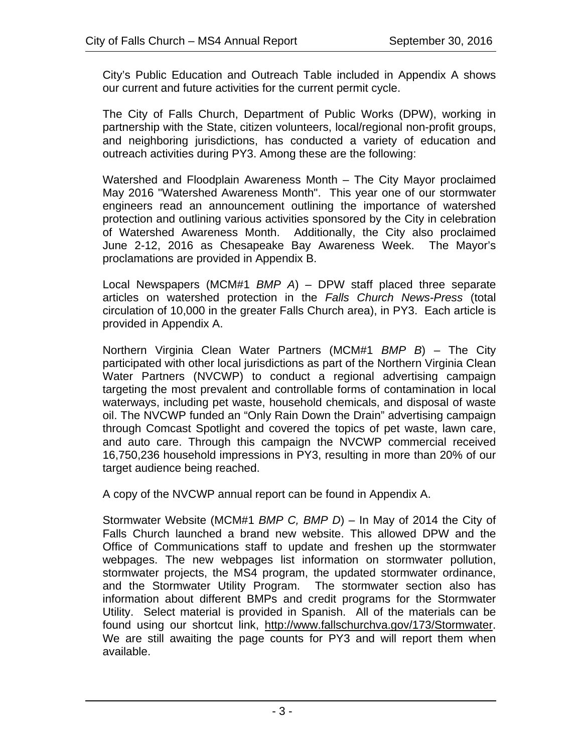City's Public Education and Outreach Table included in Appendix A shows our current and future activities for the current permit cycle.

The City of Falls Church, Department of Public Works (DPW), working in partnership with the State, citizen volunteers, local/regional non-profit groups, and neighboring jurisdictions, has conducted a variety of education and outreach activities during PY3. Among these are the following:

Watershed and Floodplain Awareness Month – The City Mayor proclaimed May 2016 "Watershed Awareness Month". This year one of our stormwater engineers read an announcement outlining the importance of watershed protection and outlining various activities sponsored by the City in celebration of Watershed Awareness Month. Additionally, the City also proclaimed June 2-12, 2016 as Chesapeake Bay Awareness Week. The Mayor's proclamations are provided in Appendix B.

Local Newspapers (MCM#1 *BMP A*) – DPW staff placed three separate articles on watershed protection in the *Falls Church News-Press* (total circulation of 10,000 in the greater Falls Church area), in PY3. Each article is provided in Appendix A.

Northern Virginia Clean Water Partners (MCM#1 *BMP B*) – The City participated with other local jurisdictions as part of the Northern Virginia Clean Water Partners (NVCWP) to conduct a regional advertising campaign targeting the most prevalent and controllable forms of contamination in local waterways, including pet waste, household chemicals, and disposal of waste oil. The NVCWP funded an "Only Rain Down the Drain" advertising campaign through Comcast Spotlight and covered the topics of pet waste, lawn care, and auto care. Through this campaign the NVCWP commercial received 16,750,236 household impressions in PY3, resulting in more than 20% of our target audience being reached.

A copy of the NVCWP annual report can be found in Appendix A.

Stormwater Website (MCM#1 *BMP C, BMP D*) – In May of 2014 the City of Falls Church launched a brand new website. This allowed DPW and the Office of Communications staff to update and freshen up the stormwater webpages. The new webpages list information on stormwater pollution, stormwater projects, the MS4 program, the updated stormwater ordinance, and the Stormwater Utility Program. The stormwater section also has information about different BMPs and credit programs for the Stormwater Utility. Select material is provided in Spanish. All of the materials can be found using our shortcut link, http://www.fallschurchva.gov/173/Stormwater. We are still awaiting the page counts for PY3 and will report them when available.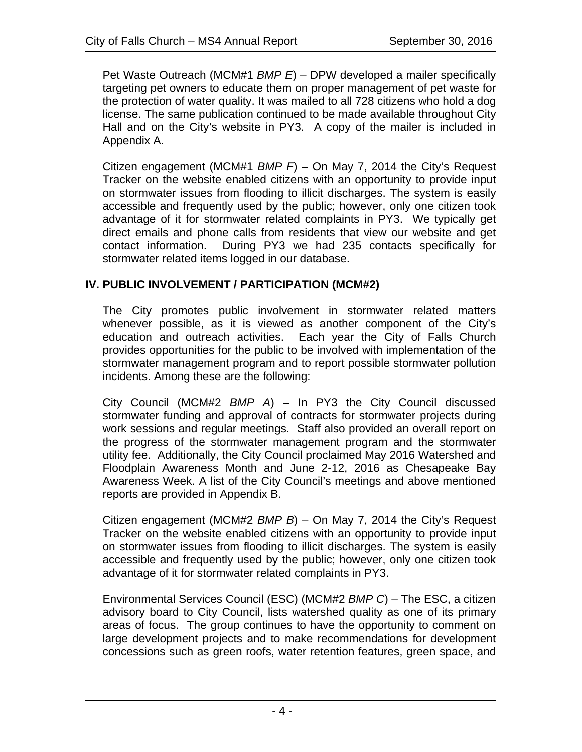Pet Waste Outreach (MCM#1 *BMP E*) – DPW developed a mailer specifically targeting pet owners to educate them on proper management of pet waste for the protection of water quality. It was mailed to all 728 citizens who hold a dog license. The same publication continued to be made available throughout City Hall and on the City's website in PY3. A copy of the mailer is included in Appendix A.

Citizen engagement (MCM#1 *BMP F*) – On May 7, 2014 the City's Request Tracker on the website enabled citizens with an opportunity to provide input on stormwater issues from flooding to illicit discharges. The system is easily accessible and frequently used by the public; however, only one citizen took advantage of it for stormwater related complaints in PY3. We typically get direct emails and phone calls from residents that view our website and get contact information. During PY3 we had 235 contacts specifically for stormwater related items logged in our database.

#### **IV. PUBLIC INVOLVEMENT / PARTICIPATION (MCM#2)**

The City promotes public involvement in stormwater related matters whenever possible, as it is viewed as another component of the City's education and outreach activities. Each year the City of Falls Church provides opportunities for the public to be involved with implementation of the stormwater management program and to report possible stormwater pollution incidents. Among these are the following:

City Council (MCM#2 *BMP A*) – In PY3 the City Council discussed stormwater funding and approval of contracts for stormwater projects during work sessions and regular meetings. Staff also provided an overall report on the progress of the stormwater management program and the stormwater utility fee. Additionally, the City Council proclaimed May 2016 Watershed and Floodplain Awareness Month and June 2-12, 2016 as Chesapeake Bay Awareness Week. A list of the City Council's meetings and above mentioned reports are provided in Appendix B.

Citizen engagement (MCM#2 *BMP B*) – On May 7, 2014 the City's Request Tracker on the website enabled citizens with an opportunity to provide input on stormwater issues from flooding to illicit discharges. The system is easily accessible and frequently used by the public; however, only one citizen took advantage of it for stormwater related complaints in PY3.

Environmental Services Council (ESC) (MCM#2 *BMP C*) – The ESC, a citizen advisory board to City Council, lists watershed quality as one of its primary areas of focus. The group continues to have the opportunity to comment on large development projects and to make recommendations for development concessions such as green roofs, water retention features, green space, and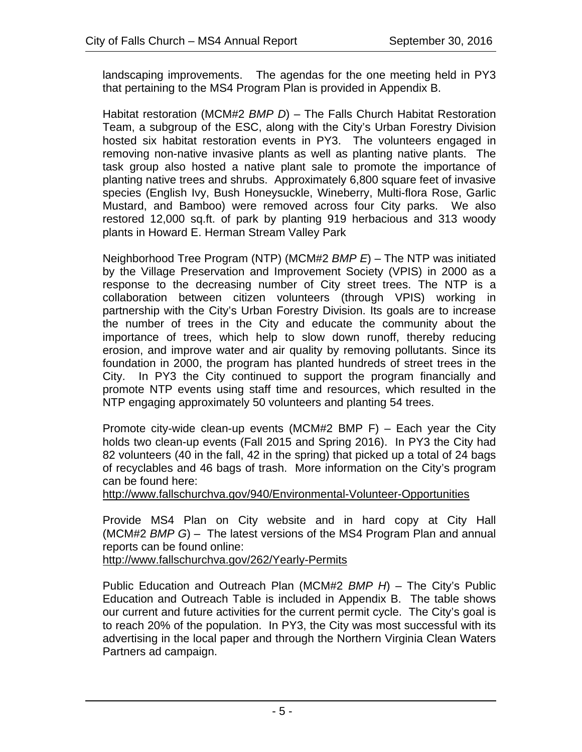landscaping improvements. The agendas for the one meeting held in PY3 that pertaining to the MS4 Program Plan is provided in Appendix B.

Habitat restoration (MCM#2 *BMP D*) – The Falls Church Habitat Restoration Team, a subgroup of the ESC, along with the City's Urban Forestry Division hosted six habitat restoration events in PY3. The volunteers engaged in removing non-native invasive plants as well as planting native plants. The task group also hosted a native plant sale to promote the importance of planting native trees and shrubs. Approximately 6,800 square feet of invasive species (English Ivy, Bush Honeysuckle, Wineberry, Multi-flora Rose, Garlic Mustard, and Bamboo) were removed across four City parks. We also restored 12,000 sq.ft. of park by planting 919 herbacious and 313 woody plants in Howard E. Herman Stream Valley Park

Neighborhood Tree Program (NTP) (MCM#2 *BMP E*) – The NTP was initiated by the Village Preservation and Improvement Society (VPIS) in 2000 as a response to the decreasing number of City street trees. The NTP is a collaboration between citizen volunteers (through VPIS) working in partnership with the City's Urban Forestry Division. Its goals are to increase the number of trees in the City and educate the community about the importance of trees, which help to slow down runoff, thereby reducing erosion, and improve water and air quality by removing pollutants. Since its foundation in 2000, the program has planted hundreds of street trees in the City. In PY3 the City continued to support the program financially and promote NTP events using staff time and resources, which resulted in the NTP engaging approximately 50 volunteers and planting 54 trees.

Promote city-wide clean-up events (MCM#2 BMP F) – Each year the City holds two clean-up events (Fall 2015 and Spring 2016). In PY3 the City had 82 volunteers (40 in the fall, 42 in the spring) that picked up a total of 24 bags of recyclables and 46 bags of trash. More information on the City's program can be found here:

http://www.fallschurchva.gov/940/Environmental-Volunteer-Opportunities

Provide MS4 Plan on City website and in hard copy at City Hall (MCM#2 *BMP G*) – The latest versions of the MS4 Program Plan and annual reports can be found online:

http://www.fallschurchva.gov/262/Yearly-Permits

Public Education and Outreach Plan (MCM#2 *BMP H*) – The City's Public Education and Outreach Table is included in Appendix B. The table shows our current and future activities for the current permit cycle. The City's goal is to reach 20% of the population. In PY3, the City was most successful with its advertising in the local paper and through the Northern Virginia Clean Waters Partners ad campaign.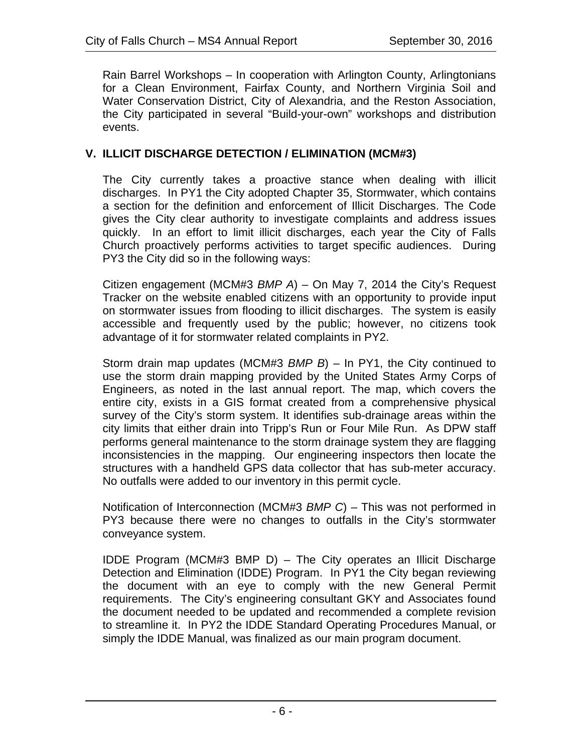Rain Barrel Workshops – In cooperation with Arlington County, Arlingtonians for a Clean Environment, Fairfax County, and Northern Virginia Soil and Water Conservation District, City of Alexandria, and the Reston Association, the City participated in several "Build-your-own" workshops and distribution events.

#### **V. ILLICIT DISCHARGE DETECTION / ELIMINATION (MCM#3)**

The City currently takes a proactive stance when dealing with illicit discharges. In PY1 the City adopted Chapter 35, Stormwater, which contains a section for the definition and enforcement of Illicit Discharges. The Code gives the City clear authority to investigate complaints and address issues quickly. In an effort to limit illicit discharges, each year the City of Falls Church proactively performs activities to target specific audiences. During PY3 the City did so in the following ways:

Citizen engagement (MCM#3 *BMP A*) – On May 7, 2014 the City's Request Tracker on the website enabled citizens with an opportunity to provide input on stormwater issues from flooding to illicit discharges. The system is easily accessible and frequently used by the public; however, no citizens took advantage of it for stormwater related complaints in PY2.

Storm drain map updates (MCM#3 *BMP B*) – In PY1, the City continued to use the storm drain mapping provided by the United States Army Corps of Engineers, as noted in the last annual report. The map, which covers the entire city, exists in a GIS format created from a comprehensive physical survey of the City's storm system. It identifies sub-drainage areas within the city limits that either drain into Tripp's Run or Four Mile Run. As DPW staff performs general maintenance to the storm drainage system they are flagging inconsistencies in the mapping. Our engineering inspectors then locate the structures with a handheld GPS data collector that has sub-meter accuracy. No outfalls were added to our inventory in this permit cycle.

Notification of Interconnection (MCM#3 *BMP C*) – This was not performed in PY3 because there were no changes to outfalls in the City's stormwater conveyance system.

IDDE Program (MCM#3 BMP D) – The City operates an Illicit Discharge Detection and Elimination (IDDE) Program. In PY1 the City began reviewing the document with an eye to comply with the new General Permit requirements. The City's engineering consultant GKY and Associates found the document needed to be updated and recommended a complete revision to streamline it. In PY2 the IDDE Standard Operating Procedures Manual, or simply the IDDE Manual, was finalized as our main program document.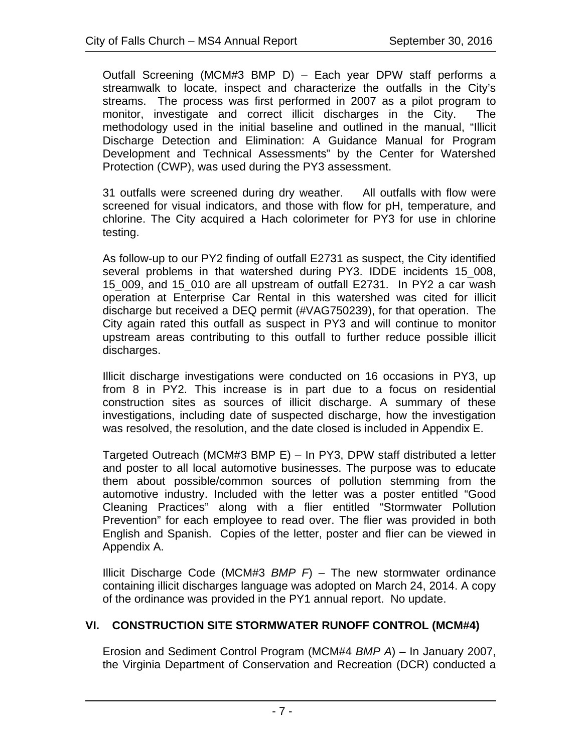Outfall Screening (MCM#3 BMP D) – Each year DPW staff performs a streamwalk to locate, inspect and characterize the outfalls in the City's streams. The process was first performed in 2007 as a pilot program to monitor, investigate and correct illicit discharges in the City. The methodology used in the initial baseline and outlined in the manual, "Illicit Discharge Detection and Elimination: A Guidance Manual for Program Development and Technical Assessments" by the Center for Watershed Protection (CWP), was used during the PY3 assessment.

31 outfalls were screened during dry weather. All outfalls with flow were screened for visual indicators, and those with flow for pH, temperature, and chlorine. The City acquired a Hach colorimeter for PY3 for use in chlorine testing.

As follow-up to our PY2 finding of outfall E2731 as suspect, the City identified several problems in that watershed during PY3. IDDE incidents 15\_008, 15\_009, and 15\_010 are all upstream of outfall E2731. In PY2 a car wash operation at Enterprise Car Rental in this watershed was cited for illicit discharge but received a DEQ permit (#VAG750239), for that operation. The City again rated this outfall as suspect in PY3 and will continue to monitor upstream areas contributing to this outfall to further reduce possible illicit discharges.

Illicit discharge investigations were conducted on 16 occasions in PY3, up from 8 in PY2. This increase is in part due to a focus on residential construction sites as sources of illicit discharge. A summary of these investigations, including date of suspected discharge, how the investigation was resolved, the resolution, and the date closed is included in Appendix E.

Targeted Outreach (MCM#3 BMP E) – In PY3, DPW staff distributed a letter and poster to all local automotive businesses. The purpose was to educate them about possible/common sources of pollution stemming from the automotive industry. Included with the letter was a poster entitled "Good Cleaning Practices" along with a flier entitled "Stormwater Pollution Prevention" for each employee to read over. The flier was provided in both English and Spanish. Copies of the letter, poster and flier can be viewed in Appendix A.

Illicit Discharge Code (MCM#3 *BMP F*) – The new stormwater ordinance containing illicit discharges language was adopted on March 24, 2014. A copy of the ordinance was provided in the PY1 annual report. No update.

# **VI. CONSTRUCTION SITE STORMWATER RUNOFF CONTROL (MCM#4)**

Erosion and Sediment Control Program (MCM#4 *BMP A*) – In January 2007, the Virginia Department of Conservation and Recreation (DCR) conducted a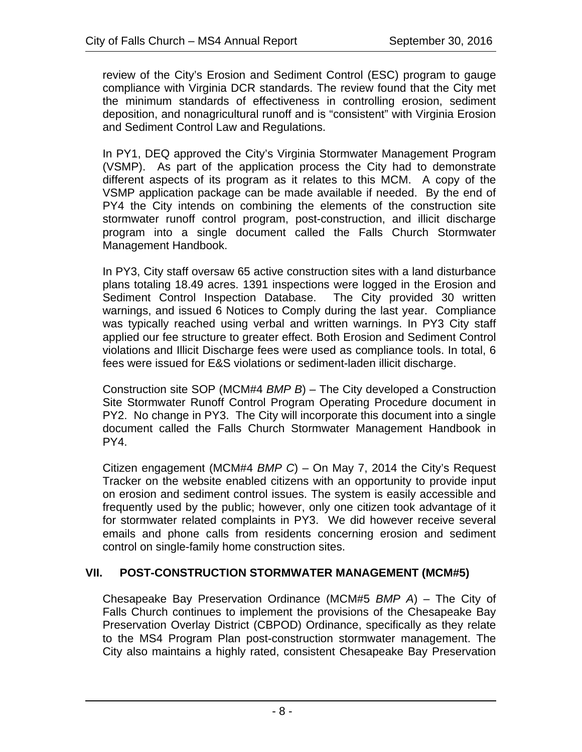review of the City's Erosion and Sediment Control (ESC) program to gauge compliance with Virginia DCR standards. The review found that the City met the minimum standards of effectiveness in controlling erosion, sediment deposition, and nonagricultural runoff and is "consistent" with Virginia Erosion and Sediment Control Law and Regulations.

In PY1, DEQ approved the City's Virginia Stormwater Management Program (VSMP). As part of the application process the City had to demonstrate different aspects of its program as it relates to this MCM. A copy of the VSMP application package can be made available if needed. By the end of PY4 the City intends on combining the elements of the construction site stormwater runoff control program, post-construction, and illicit discharge program into a single document called the Falls Church Stormwater Management Handbook.

In PY3, City staff oversaw 65 active construction sites with a land disturbance plans totaling 18.49 acres. 1391 inspections were logged in the Erosion and Sediment Control Inspection Database. The City provided 30 written warnings, and issued 6 Notices to Comply during the last year. Compliance was typically reached using verbal and written warnings. In PY3 City staff applied our fee structure to greater effect. Both Erosion and Sediment Control violations and Illicit Discharge fees were used as compliance tools. In total, 6 fees were issued for E&S violations or sediment-laden illicit discharge.

Construction site SOP (MCM#4 *BMP B*) – The City developed a Construction Site Stormwater Runoff Control Program Operating Procedure document in PY2. No change in PY3. The City will incorporate this document into a single document called the Falls Church Stormwater Management Handbook in PY4.

Citizen engagement (MCM#4 *BMP C*) – On May 7, 2014 the City's Request Tracker on the website enabled citizens with an opportunity to provide input on erosion and sediment control issues. The system is easily accessible and frequently used by the public; however, only one citizen took advantage of it for stormwater related complaints in PY3. We did however receive several emails and phone calls from residents concerning erosion and sediment control on single-family home construction sites.

# **VII. POST-CONSTRUCTION STORMWATER MANAGEMENT (MCM#5)**

Chesapeake Bay Preservation Ordinance (MCM#5 *BMP A*) – The City of Falls Church continues to implement the provisions of the Chesapeake Bay Preservation Overlay District (CBPOD) Ordinance, specifically as they relate to the MS4 Program Plan post-construction stormwater management. The City also maintains a highly rated, consistent Chesapeake Bay Preservation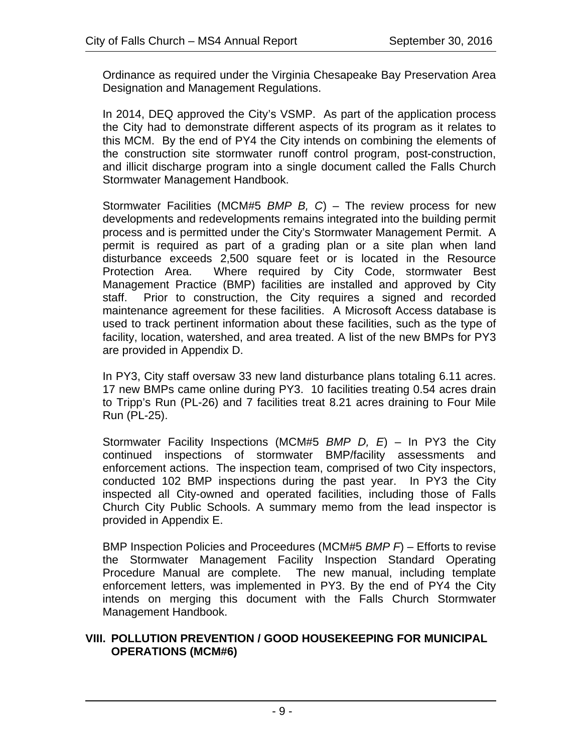Ordinance as required under the Virginia Chesapeake Bay Preservation Area Designation and Management Regulations.

In 2014, DEQ approved the City's VSMP. As part of the application process the City had to demonstrate different aspects of its program as it relates to this MCM. By the end of PY4 the City intends on combining the elements of the construction site stormwater runoff control program, post-construction, and illicit discharge program into a single document called the Falls Church Stormwater Management Handbook.

Stormwater Facilities (MCM#5 *BMP B, C*) – The review process for new developments and redevelopments remains integrated into the building permit process and is permitted under the City's Stormwater Management Permit. A permit is required as part of a grading plan or a site plan when land disturbance exceeds 2,500 square feet or is located in the Resource Protection Area. Where required by City Code, stormwater Best Management Practice (BMP) facilities are installed and approved by City staff. Prior to construction, the City requires a signed and recorded maintenance agreement for these facilities. A Microsoft Access database is used to track pertinent information about these facilities, such as the type of facility, location, watershed, and area treated. A list of the new BMPs for PY3 are provided in Appendix D.

In PY3, City staff oversaw 33 new land disturbance plans totaling 6.11 acres. 17 new BMPs came online during PY3. 10 facilities treating 0.54 acres drain to Tripp's Run (PL-26) and 7 facilities treat 8.21 acres draining to Four Mile Run (PL-25).

Stormwater Facility Inspections (MCM#5 *BMP D, E*) – In PY3 the City continued inspections of stormwater BMP/facility assessments and enforcement actions. The inspection team, comprised of two City inspectors, conducted 102 BMP inspections during the past year. In PY3 the City inspected all City-owned and operated facilities, including those of Falls Church City Public Schools. A summary memo from the lead inspector is provided in Appendix E.

BMP Inspection Policies and Proceedures (MCM#5 *BMP F*) – Efforts to revise the Stormwater Management Facility Inspection Standard Operating Procedure Manual are complete. The new manual, including template enforcement letters, was implemented in PY3. By the end of PY4 the City intends on merging this document with the Falls Church Stormwater Management Handbook.

#### **VIII. POLLUTION PREVENTION / GOOD HOUSEKEEPING FOR MUNICIPAL OPERATIONS (MCM#6)**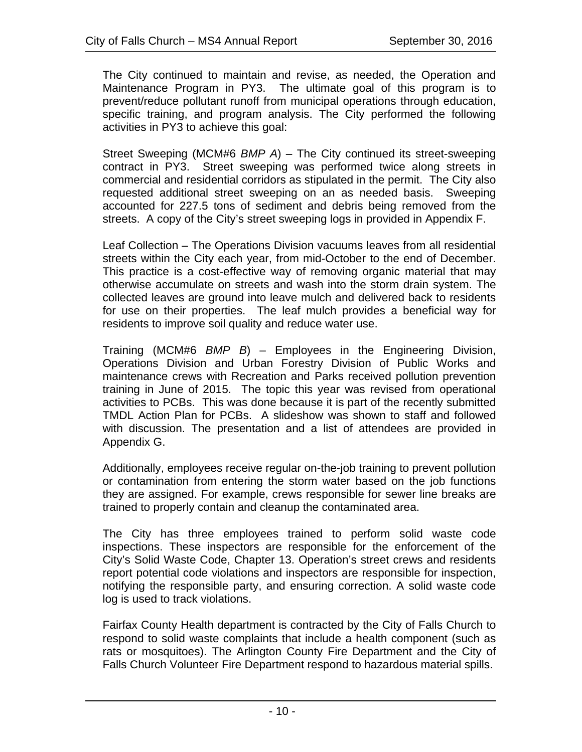The City continued to maintain and revise, as needed, the Operation and Maintenance Program in PY3. The ultimate goal of this program is to prevent/reduce pollutant runoff from municipal operations through education, specific training, and program analysis. The City performed the following activities in PY3 to achieve this goal:

Street Sweeping (MCM#6 *BMP A*) – The City continued its street-sweeping contract in PY3. Street sweeping was performed twice along streets in commercial and residential corridors as stipulated in the permit. The City also requested additional street sweeping on an as needed basis. Sweeping accounted for 227.5 tons of sediment and debris being removed from the streets. A copy of the City's street sweeping logs in provided in Appendix F.

Leaf Collection – The Operations Division vacuums leaves from all residential streets within the City each year, from mid-October to the end of December. This practice is a cost-effective way of removing organic material that may otherwise accumulate on streets and wash into the storm drain system. The collected leaves are ground into leave mulch and delivered back to residents for use on their properties. The leaf mulch provides a beneficial way for residents to improve soil quality and reduce water use.

Training (MCM#6 *BMP B*) – Employees in the Engineering Division, Operations Division and Urban Forestry Division of Public Works and maintenance crews with Recreation and Parks received pollution prevention training in June of 2015. The topic this year was revised from operational activities to PCBs. This was done because it is part of the recently submitted TMDL Action Plan for PCBs. A slideshow was shown to staff and followed with discussion. The presentation and a list of attendees are provided in Appendix G.

Additionally, employees receive regular on-the-job training to prevent pollution or contamination from entering the storm water based on the job functions they are assigned. For example, crews responsible for sewer line breaks are trained to properly contain and cleanup the contaminated area.

The City has three employees trained to perform solid waste code inspections. These inspectors are responsible for the enforcement of the City's Solid Waste Code, Chapter 13. Operation's street crews and residents report potential code violations and inspectors are responsible for inspection, notifying the responsible party, and ensuring correction. A solid waste code log is used to track violations.

Fairfax County Health department is contracted by the City of Falls Church to respond to solid waste complaints that include a health component (such as rats or mosquitoes). The Arlington County Fire Department and the City of Falls Church Volunteer Fire Department respond to hazardous material spills.